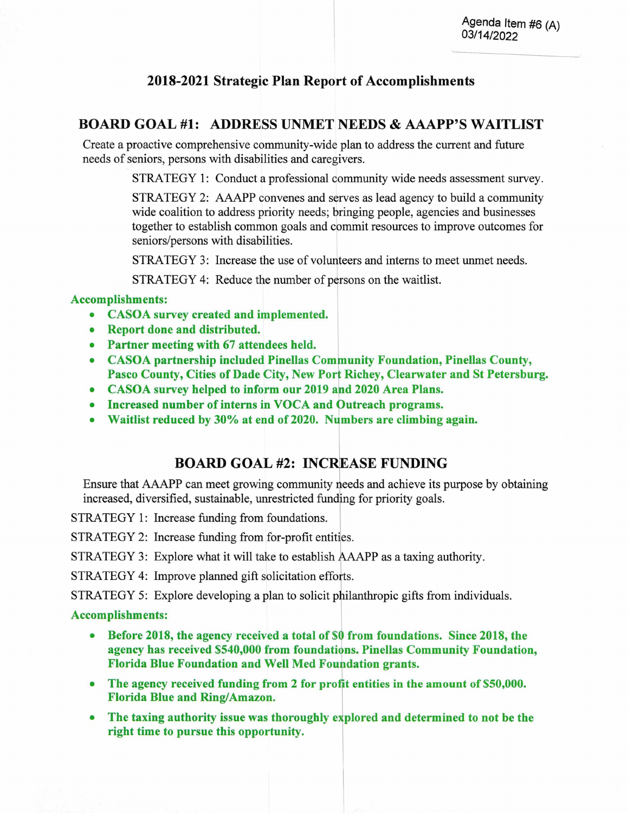## **2018-2021 Strategic Plan Report of Accomplishments**

## **BOARD GOAL #1: ADDRESS UNMET NEEDS & AAAPP'S WAITLIST**

Create a proactive comprehensive community-wide plan to address the current and future needs of seniors, persons with disabilities and caregivers.

STRATEGY 1: Conduct a professional community wide needs assessment survey.

STRATEGY 2: AAAPP convenes and serves as lead agency to build a community wide coalition to address priority needs; bringing people, agencies and businesses together to establish common goals and commit resources to improve outcomes for seniors/persons with disabilities.

STRATEGY 3: Increase the use of volunteers and interns to meet unmet needs.

STRATEGY 4: Reduce the number of persons on the waitlist.

### **Accomplishments:**

- **CASOA survey created and implemented.**
- **Report done and distributed.**
- **Partner meeting with 67 attendees held.**
- **CASOA partnership included Pinellas Comnunity Foundation, Pinellas County, Pasco County, Cities of Dade City, New Port Richey, Clearwater and St Petersburg.**
- CASOA survey helped to inform our 2019 and 2020 Area Plans.
- **•** Increased number of interns in VOCA and Outreach programs.
- Waitlist reduced by 30% at end of 2020. Numbers are climbing again.

### BOARD GOAL #2: INCREASE FUNDING

Ensure that AAAPP can meet growing community needs and achieve its purpose by obtaining increased, diversified, sustainable, unrestricted funding for priority goals.

STRATEGY 1: Increase funding from foundations.

STRATEGY 2: Increase funding from for-profit entities.

STRATEGY 3: Explore what it will take to establish AAAPP as a taxing authority.

STRATEGY 4: Improve planned gift solicitation efforts.

STRATEGY *5:* Explore developing a plan to solicit philanthropic gifts from individuals.

#### **Accomplishments:**

- **Before 2018, the agency received a total of \$0 from foundations. Since 2018, the agency has received \$540,000 from foundations. Pinellas Community Foundation, Florida Blue Foundation and Well Med Foundation grants.**
- The agency received funding from 2 for profit entities in the amount of \$50,000. **Florida Blue and Ring/Amazon.**
- **The taxing authority issue was thoroughly explored and determined to not be the right time to pursue this opportunity.**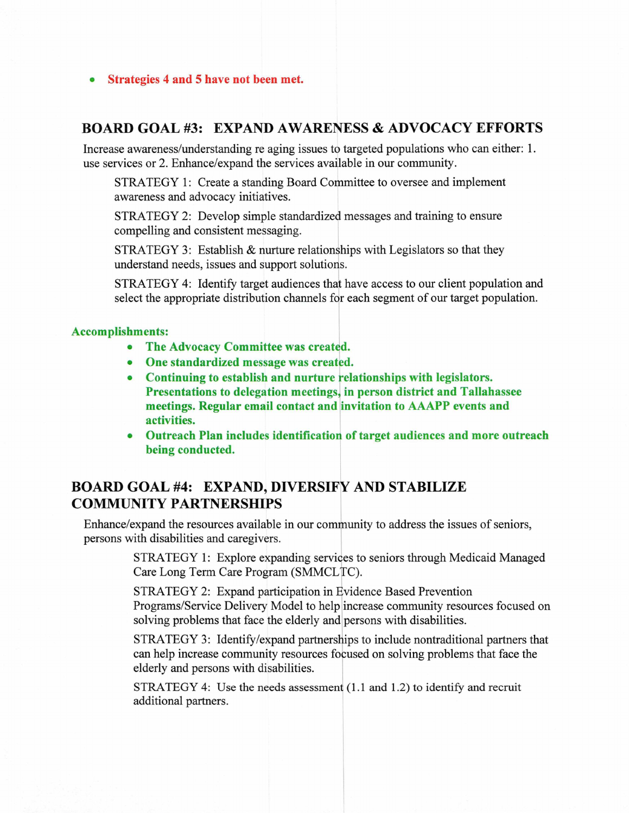**Strategies 4 and 5 have not been met.** 

## **BOARD GOAL #3: EXPAND AWARENESS & ADVOCACY EFFORTS**

Increase awareness/understanding re aging issues to targeted populations who can either: 1. use services or 2. Enhance/expand the services available in our community.

STRATEGY 1: Create a standing Board Committee to oversee and implement awareness and advocacy initiatives.

STRATEGY 2: Develop simple standardized messages and training to ensure compelling and consistent messaging.

STRATEGY 3: Establish & nurture relationships with Legislators so that they understand needs, issues and support solutions.

STRATEGY 4: Identify target audiences that have access to our client population and select the appropriate distribution channels for each segment of our target population.

#### **Accomplishments:**

- **The Advocacy Committee was created.**
- **One standardized message was created.**
- **Continuing to establish and nurture relationships with legislators. Presentations to delegation meetings, in person district and Tallahassee meetings. Regular email contact and invitation to AAAPP events and activities.**
- **Outreach Plan includes identificatior of target audiences and more outreach being conducted.**

# **BOARD GOAL #4: EXPAND, DIVERSIFY AND STABILIZE COMMUNITY PARTNERSHIPS**

Enhance/expand the resources available in our community to address the issues of seniors, persons with disabilities and caregivers.

> STRATEGY 1: Explore expanding services to seniors through Medicaid Managed Care Long Term Care Program (SMMCLTC).

STRATEGY 2: Expand participation in Evidence Based Prevention Programs/Service Delivery Model to help increase community resources focused on solving problems that face the elderly and persons with disabilities.

STRATEGY 3: Identify/expand partnerships to include nontraditional partners that can help increase community resources focused on solving problems that face the elderly and persons with disabilities.

STRATEGY 4: Use the needs assessment (1.1 and 1.2) to identify and recruit additional partners.